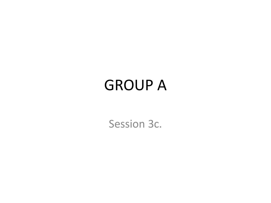## GROUP A

Session 3c.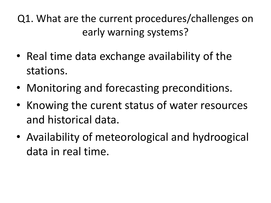- Real time data exchange availability of the stations.
- Monitoring and forecasting preconditions.
- Knowing the curent status of water resources and historical data.
- Availability of meteorological and hydroogical data in real time.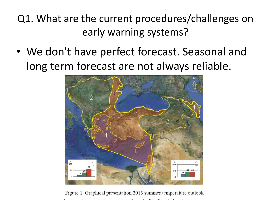• We don't have perfect forecast. Seasonal and long term forecast are not always reliable.



Figure 1. Graphical presentation 2013 summer temperature outlook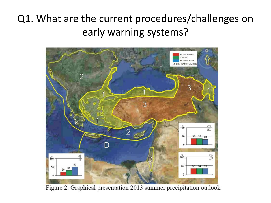

Figure 2. Graphical presentation 2013 summer precipitation outlook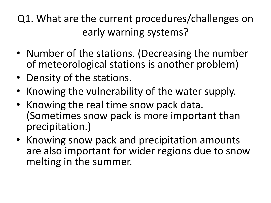- Number of the stations. (Decreasing the number of meteorological stations is another problem)
- Density of the stations.
- Knowing the vulnerability of the water supply.
- Knowing the real time snow pack data. (Sometimes snow pack is more important than precipitation.)
- Knowing snow pack and precipitation amounts are also important for wider regions due to snow melting in the summer.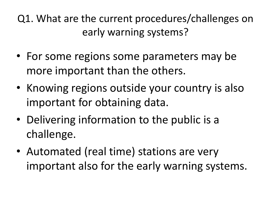- For some regions some parameters may be more important than the others.
- Knowing regions outside your country is also important for obtaining data.
- Delivering information to the public is a challenge.
- Automated (real time) stations are very important also for the early warning systems.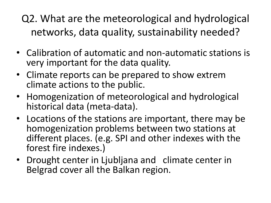Q2. What are the meteorological and hydrological networks, data quality, sustainability needed?

- Calibration of automatic and non-automatic stations is very important for the data quality.
- Climate reports can be prepared to show extrem climate actions to the public.
- Homogenization of meteorological and hydrological historical data (meta-data).
- Locations of the stations are important, there may be homogenization problems between two stations at different places. (e.g. SPI and other indexes with the forest fire indexes.)
- Drought center in Ljubljana and climate center in Belgrad cover all the Balkan region.